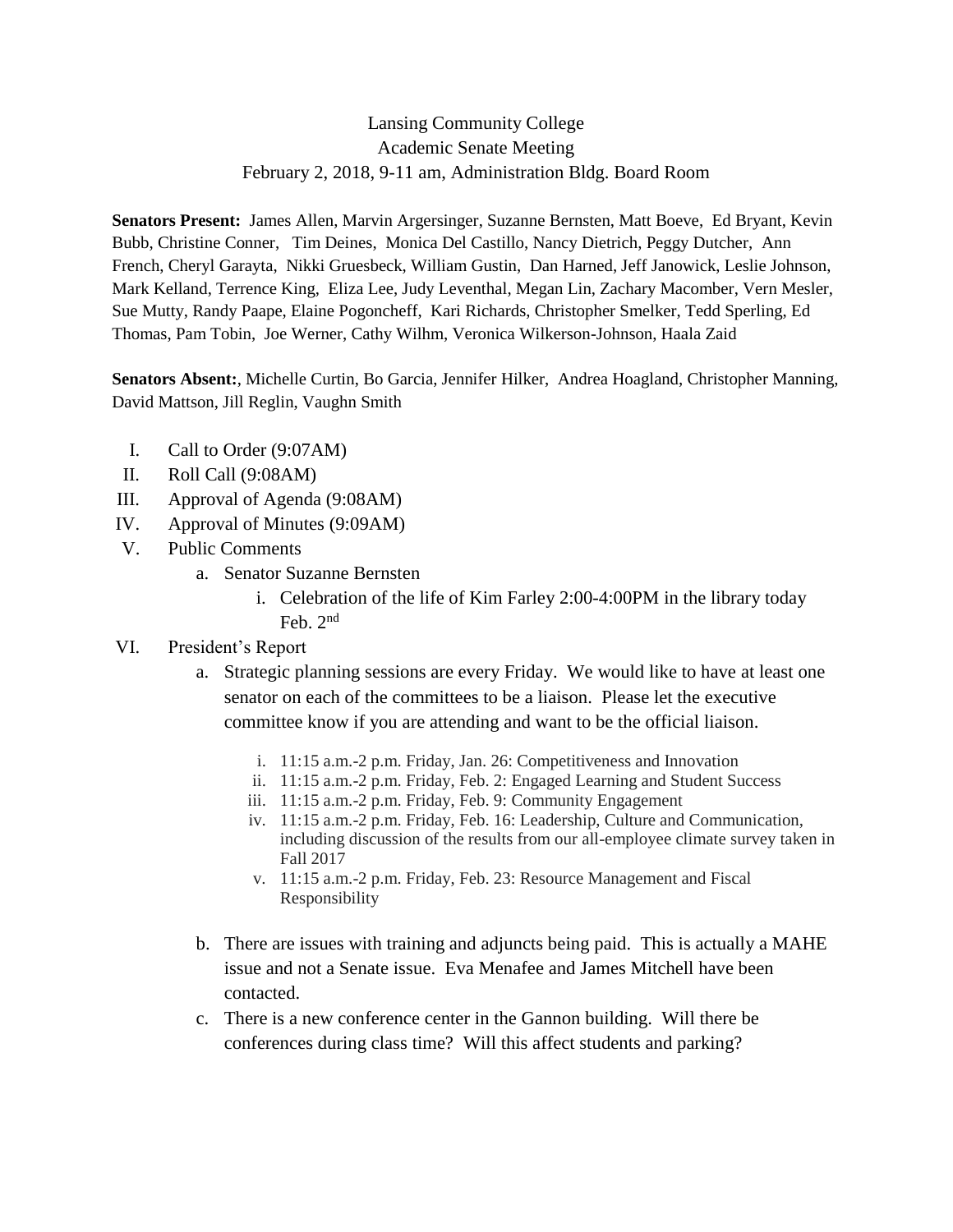## Lansing Community College Academic Senate Meeting February 2, 2018, 9-11 am, Administration Bldg. Board Room

**Senators Present:** James Allen, Marvin Argersinger, Suzanne Bernsten, Matt Boeve, Ed Bryant, Kevin Bubb, Christine Conner, Tim Deines, Monica Del Castillo, Nancy Dietrich, Peggy Dutcher, Ann French, Cheryl Garayta, Nikki Gruesbeck, William Gustin, Dan Harned, Jeff Janowick, Leslie Johnson, Mark Kelland, Terrence King, Eliza Lee, Judy Leventhal, Megan Lin, Zachary Macomber, Vern Mesler, Sue Mutty, Randy Paape, Elaine Pogoncheff, Kari Richards, Christopher Smelker, Tedd Sperling, Ed Thomas, Pam Tobin, Joe Werner, Cathy Wilhm, Veronica Wilkerson-Johnson, Haala Zaid

**Senators Absent:**, Michelle Curtin, Bo Garcia, Jennifer Hilker, Andrea Hoagland, Christopher Manning, David Mattson, Jill Reglin, Vaughn Smith

- I. Call to Order (9:07AM)
- II. Roll Call (9:08AM)
- III. Approval of Agenda (9:08AM)
- IV. Approval of Minutes (9:09AM)
- V. Public Comments
	- a. Senator Suzanne Bernsten
		- i. Celebration of the life of Kim Farley 2:00-4:00PM in the library today Feb. 2nd
- VI. President's Report
	- a. Strategic planning sessions are every Friday. We would like to have at least one senator on each of the committees to be a liaison. Please let the executive committee know if you are attending and want to be the official liaison.
		- i. 11:15 a.m.-2 p.m. Friday, Jan. 26: Competitiveness and Innovation
		- ii. 11:15 a.m.-2 p.m. Friday, Feb. 2: Engaged Learning and Student Success
		- iii. 11:15 a.m.-2 p.m. Friday, Feb. 9: Community Engagement
		- iv. 11:15 a.m.-2 p.m. Friday, Feb. 16: Leadership, Culture and Communication, including discussion of the results from our all-employee climate survey taken in Fall 2017
		- v. 11:15 a.m.-2 p.m. Friday, Feb. 23: Resource Management and Fiscal Responsibility
	- b. There are issues with training and adjuncts being paid. This is actually a MAHE issue and not a Senate issue. Eva Menafee and James Mitchell have been contacted.
	- c. There is a new conference center in the Gannon building. Will there be conferences during class time? Will this affect students and parking?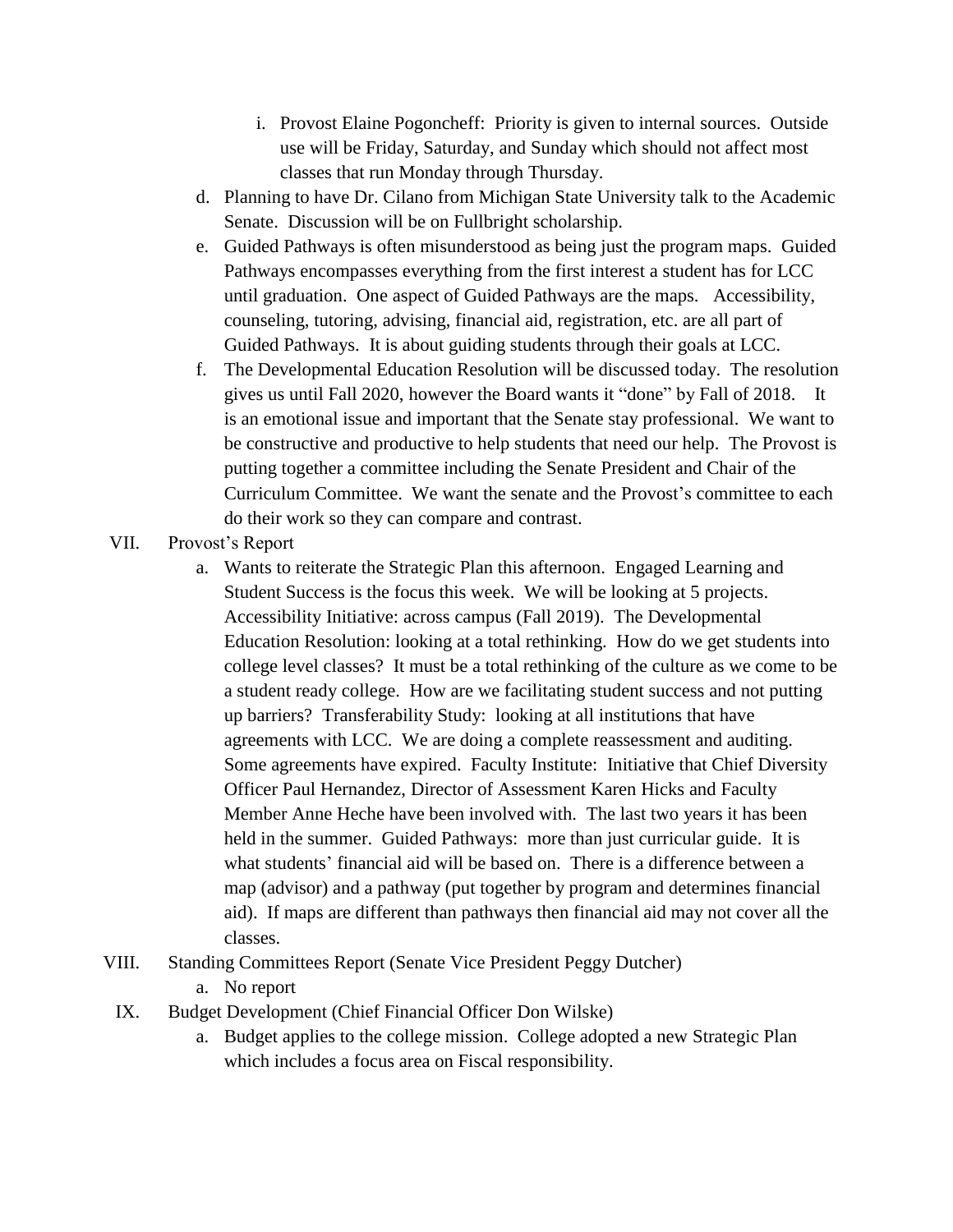- i. Provost Elaine Pogoncheff: Priority is given to internal sources. Outside use will be Friday, Saturday, and Sunday which should not affect most classes that run Monday through Thursday.
- d. Planning to have Dr. Cilano from Michigan State University talk to the Academic Senate. Discussion will be on Fullbright scholarship.
- e. Guided Pathways is often misunderstood as being just the program maps. Guided Pathways encompasses everything from the first interest a student has for LCC until graduation. One aspect of Guided Pathways are the maps. Accessibility, counseling, tutoring, advising, financial aid, registration, etc. are all part of Guided Pathways. It is about guiding students through their goals at LCC.
- f. The Developmental Education Resolution will be discussed today. The resolution gives us until Fall 2020, however the Board wants it "done" by Fall of 2018. It is an emotional issue and important that the Senate stay professional. We want to be constructive and productive to help students that need our help. The Provost is putting together a committee including the Senate President and Chair of the Curriculum Committee. We want the senate and the Provost's committee to each do their work so they can compare and contrast.
- VII. Provost's Report
	- a. Wants to reiterate the Strategic Plan this afternoon. Engaged Learning and Student Success is the focus this week. We will be looking at 5 projects. Accessibility Initiative: across campus (Fall 2019). The Developmental Education Resolution: looking at a total rethinking. How do we get students into college level classes? It must be a total rethinking of the culture as we come to be a student ready college. How are we facilitating student success and not putting up barriers? Transferability Study: looking at all institutions that have agreements with LCC. We are doing a complete reassessment and auditing. Some agreements have expired. Faculty Institute: Initiative that Chief Diversity Officer Paul Hernandez, Director of Assessment Karen Hicks and Faculty Member Anne Heche have been involved with. The last two years it has been held in the summer. Guided Pathways: more than just curricular guide. It is what students' financial aid will be based on. There is a difference between a map (advisor) and a pathway (put together by program and determines financial aid). If maps are different than pathways then financial aid may not cover all the classes.
- VIII. Standing Committees Report (Senate Vice President Peggy Dutcher)
	- a. No report
	- IX. Budget Development (Chief Financial Officer Don Wilske)
		- a. Budget applies to the college mission. College adopted a new Strategic Plan which includes a focus area on Fiscal responsibility.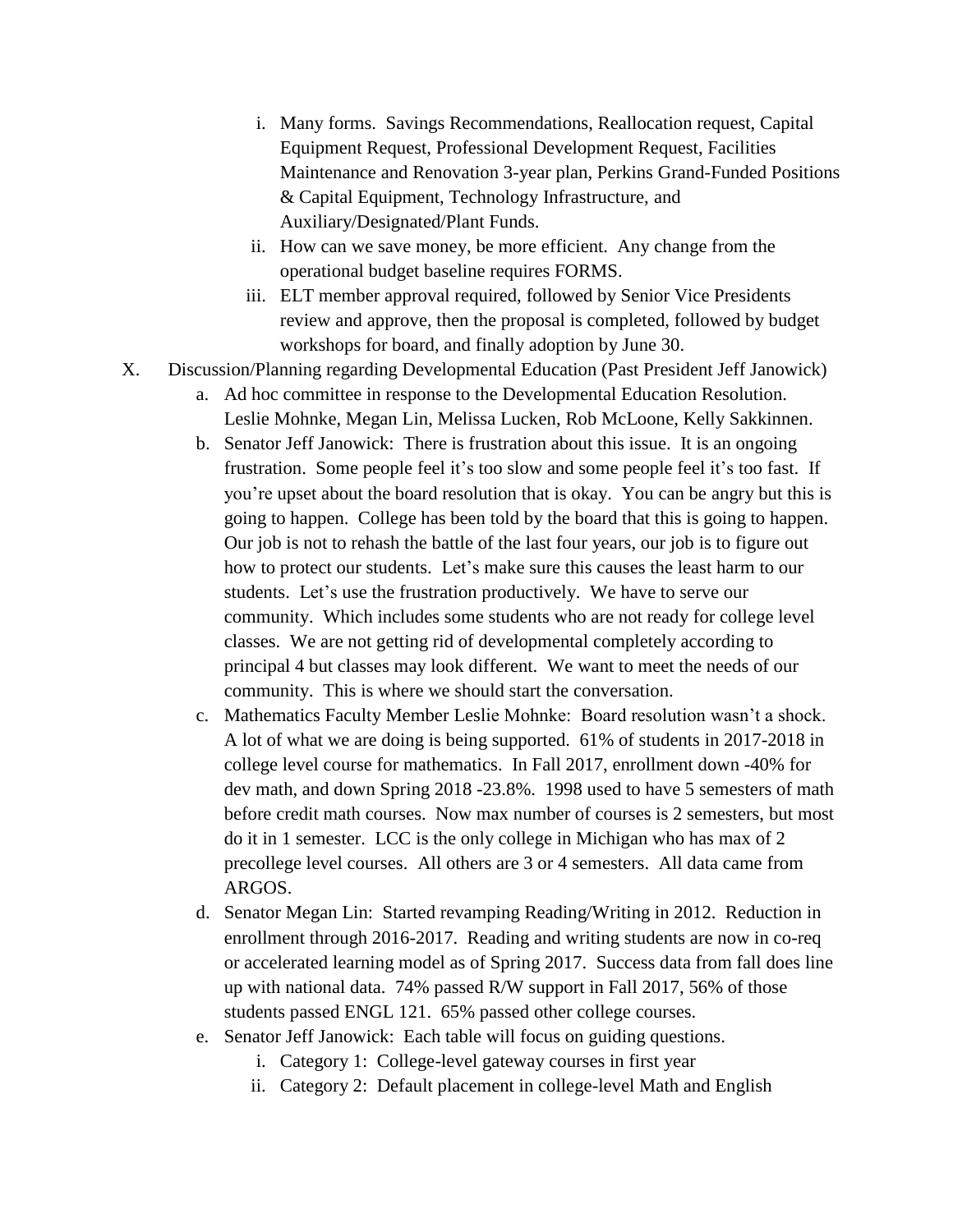- i. Many forms. Savings Recommendations, Reallocation request, Capital Equipment Request, Professional Development Request, Facilities Maintenance and Renovation 3-year plan, Perkins Grand-Funded Positions & Capital Equipment, Technology Infrastructure, and Auxiliary/Designated/Plant Funds.
- ii. How can we save money, be more efficient. Any change from the operational budget baseline requires FORMS.
- iii. ELT member approval required, followed by Senior Vice Presidents review and approve, then the proposal is completed, followed by budget workshops for board, and finally adoption by June 30.
- X. Discussion/Planning regarding Developmental Education (Past President Jeff Janowick)
	- a. Ad hoc committee in response to the Developmental Education Resolution. Leslie Mohnke, Megan Lin, Melissa Lucken, Rob McLoone, Kelly Sakkinnen.
	- b. Senator Jeff Janowick: There is frustration about this issue. It is an ongoing frustration. Some people feel it's too slow and some people feel it's too fast. If you're upset about the board resolution that is okay. You can be angry but this is going to happen. College has been told by the board that this is going to happen. Our job is not to rehash the battle of the last four years, our job is to figure out how to protect our students. Let's make sure this causes the least harm to our students. Let's use the frustration productively. We have to serve our community. Which includes some students who are not ready for college level classes. We are not getting rid of developmental completely according to principal 4 but classes may look different. We want to meet the needs of our community. This is where we should start the conversation.
	- c. Mathematics Faculty Member Leslie Mohnke: Board resolution wasn't a shock. A lot of what we are doing is being supported. 61% of students in 2017-2018 in college level course for mathematics. In Fall 2017, enrollment down -40% for dev math, and down Spring 2018 -23.8%. 1998 used to have 5 semesters of math before credit math courses. Now max number of courses is 2 semesters, but most do it in 1 semester. LCC is the only college in Michigan who has max of 2 precollege level courses. All others are 3 or 4 semesters. All data came from ARGOS.
	- d. Senator Megan Lin: Started revamping Reading/Writing in 2012. Reduction in enrollment through 2016-2017. Reading and writing students are now in co-req or accelerated learning model as of Spring 2017. Success data from fall does line up with national data. 74% passed R/W support in Fall 2017, 56% of those students passed ENGL 121. 65% passed other college courses.
	- e. Senator Jeff Janowick: Each table will focus on guiding questions.
		- i. Category 1: College-level gateway courses in first year
		- ii. Category 2: Default placement in college-level Math and English